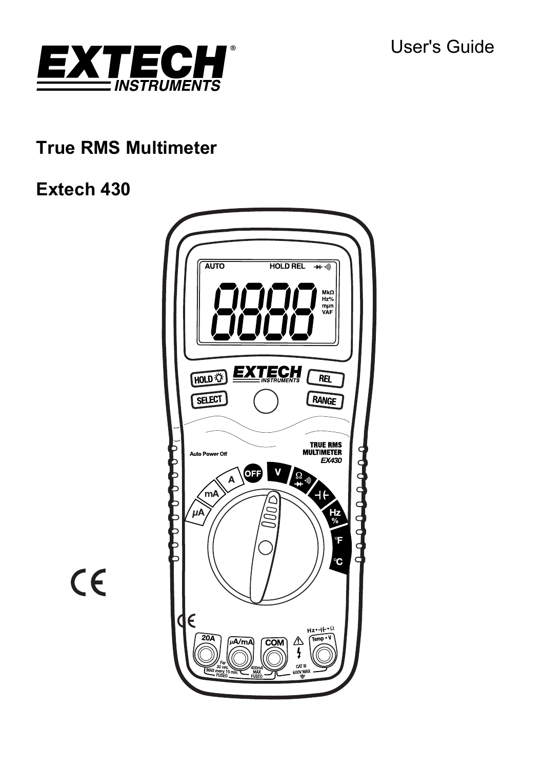

# **True RMS Multimeter**

# **Extech 430**



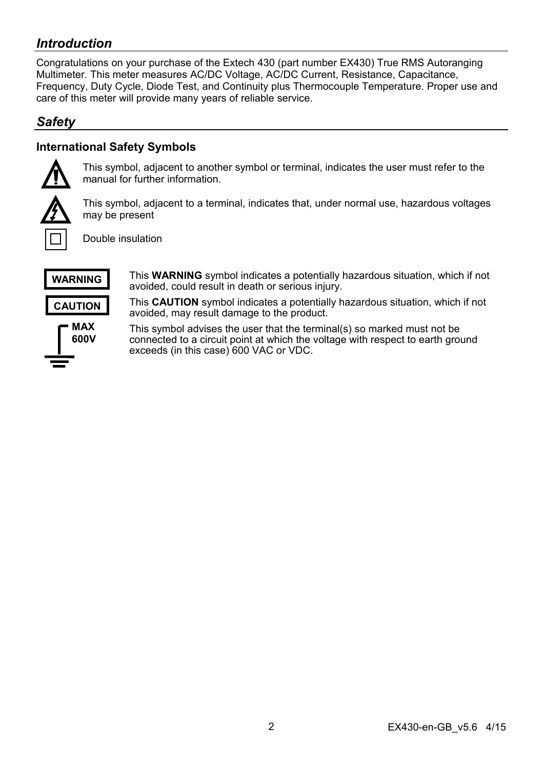# *Introduction*

Congratulations on your purchase of the Extech 430 (part number EX430) True RMS Autoranging Multimeter. This meter measures AC/DC Voltage, AC/DC Current, Resistance, Capacitance, Frequency, Duty Cycle, Diode Test, and Continuity plus Thermocouple Temperature. Proper use and care of this meter will provide many years of reliable service.

# *Safety*

# **International Safety Symbols**



This symbol, adjacent to another symbol or terminal, indicates the user must refer to the manual for further information.



This symbol, adjacent to a terminal, indicates that, under normal use, hazardous voltages may be present

Double insulation



This **WARNING** symbol indicates a potentially hazardous situation, which if not avoided, could result in death or serious injury.

**CAUTION** 



This **CAUTION** symbol indicates a potentially hazardous situation, which if not avoided, may result damage to the product.

This symbol advises the user that the terminal(s) so marked must not be connected to a circuit point at which the voltage with respect to earth ground exceeds (in this case) 600 VAC or VDC.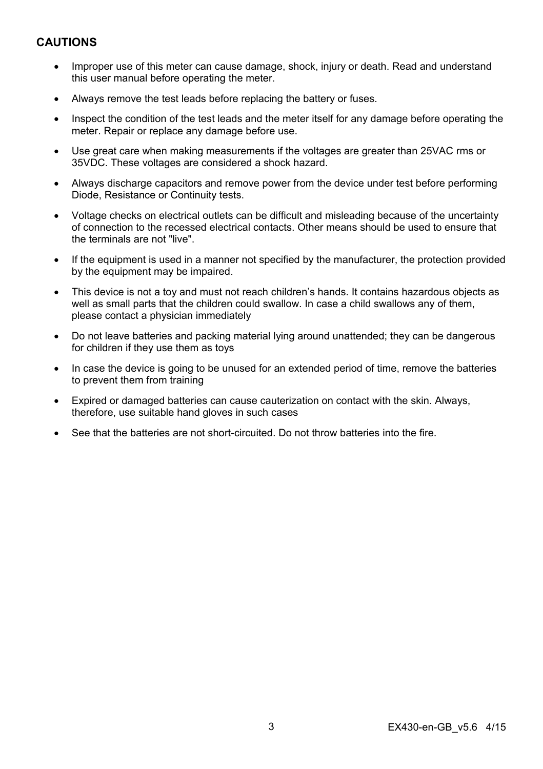# **CAUTIONS**

- Improper use of this meter can cause damage, shock, injury or death. Read and understand this user manual before operating the meter.
- Always remove the test leads before replacing the battery or fuses.
- Inspect the condition of the test leads and the meter itself for any damage before operating the meter. Repair or replace any damage before use.
- Use great care when making measurements if the voltages are greater than 25VAC rms or 35VDC. These voltages are considered a shock hazard.
- Always discharge capacitors and remove power from the device under test before performing Diode, Resistance or Continuity tests.
- Voltage checks on electrical outlets can be difficult and misleading because of the uncertainty of connection to the recessed electrical contacts. Other means should be used to ensure that the terminals are not "live".
- If the equipment is used in a manner not specified by the manufacturer, the protection provided by the equipment may be impaired.
- This device is not a toy and must not reach children's hands. It contains hazardous objects as well as small parts that the children could swallow. In case a child swallows any of them, please contact a physician immediately
- Do not leave batteries and packing material lying around unattended; they can be dangerous for children if they use them as toys
- In case the device is going to be unused for an extended period of time, remove the batteries to prevent them from training
- Expired or damaged batteries can cause cauterization on contact with the skin. Always, therefore, use suitable hand gloves in such cases
- See that the batteries are not short-circuited. Do not throw batteries into the fire.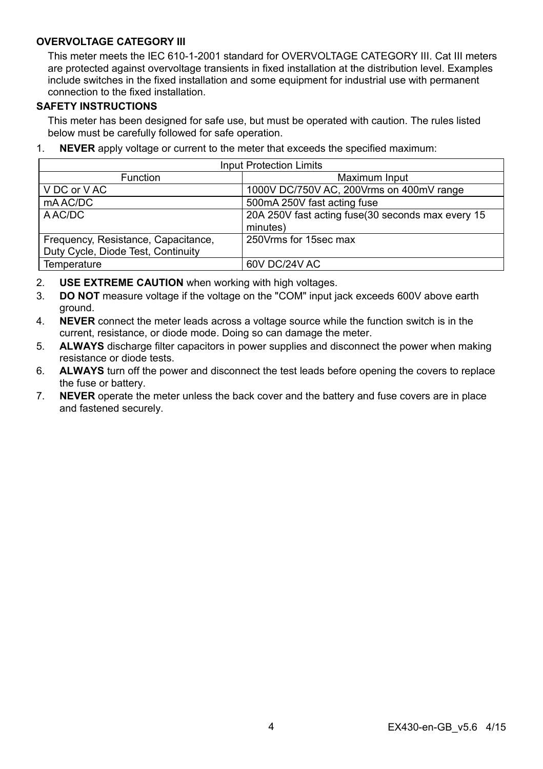## **OVERVOLTAGE CATEGORY III**

This meter meets the IEC 610-1-2001 standard for OVERVOLTAGE CATEGORY III. Cat III meters are protected against overvoltage transients in fixed installation at the distribution level. Examples include switches in the fixed installation and some equipment for industrial use with permanent connection to the fixed installation.

#### **SAFETY INSTRUCTIONS**

This meter has been designed for safe use, but must be operated with caution. The rules listed below must be carefully followed for safe operation.

1. **NEVER** apply voltage or current to the meter that exceeds the specified maximum:

| <b>Input Protection Limits</b>      |                                                   |  |  |
|-------------------------------------|---------------------------------------------------|--|--|
| <b>Function</b>                     | Maximum Input                                     |  |  |
| V DC or V AC                        | 1000V DC/750V AC, 200Vrms on 400mV range          |  |  |
| mAAC/DC                             | 500mA 250V fast acting fuse                       |  |  |
| A AC/DC                             | 20A 250V fast acting fuse(30 seconds max every 15 |  |  |
|                                     | minutes)                                          |  |  |
| Frequency, Resistance, Capacitance, | 250 Vrms for 15sec max                            |  |  |
| Duty Cycle, Diode Test, Continuity  |                                                   |  |  |
| Temperature                         | 60V DC/24V AC                                     |  |  |

- 2. **USE EXTREME CAUTION** when working with high voltages.
- 3. **DO NOT** measure voltage if the voltage on the "COM" input jack exceeds 600V above earth ground.
- 4. **NEVER** connect the meter leads across a voltage source while the function switch is in the current, resistance, or diode mode. Doing so can damage the meter.
- 5. **ALWAYS** discharge filter capacitors in power supplies and disconnect the power when making resistance or diode tests.
- 6. **ALWAYS** turn off the power and disconnect the test leads before opening the covers to replace the fuse or battery.
- 7. **NEVER** operate the meter unless the back cover and the battery and fuse covers are in place and fastened securely.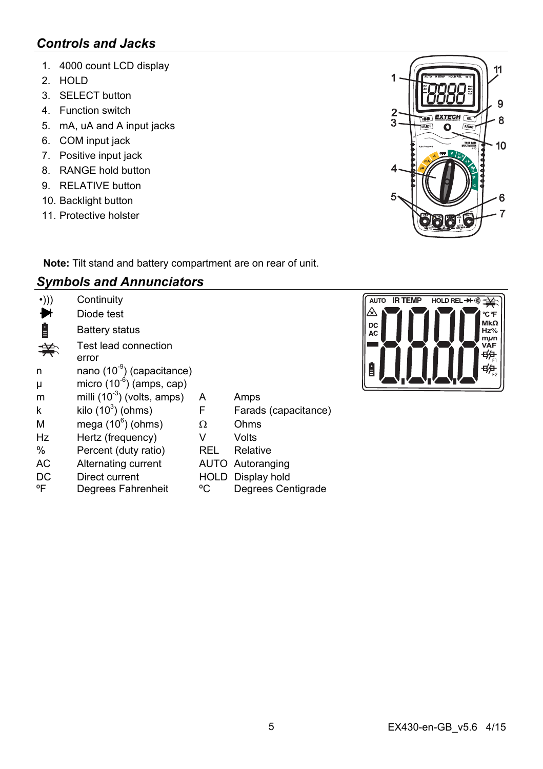# *Controls and Jacks*

- 1. 4000 count LCD display
- 2. HOLD
- 3. SELECT button
- 4. Function switch
- 5. mA, uA and A input jacks
- 6. COM input jack
- 7. Positive input jack
- 8. RANGE hold button
- 9 RELATIVE button
- 10. Backlight button
- 11. Protective holster



**Note:** Tilt stand and battery compartment are on rear of unit.

# *Symbols and Annunciators*

| $\cdot$ ))) | Continuity                             |      |                      |
|-------------|----------------------------------------|------|----------------------|
|             | Diode test                             |      |                      |
| Ė           | Battery status                         |      |                      |
|             | Test lead connection<br>error          |      |                      |
| n           | nano (10 <sup>-9</sup> ) (capacitance) |      |                      |
| μ           | micro $(10^{-6})$ (amps, cap)          |      |                      |
| m           | milli $(10^{-3})$ (volts, amps)        | A    | Amps                 |
| k           | kilo $(10^3)$ (ohms)                   | F    | Farads (capacitance) |
| M           | mega $(10^6)$ (ohms)                   | Ω    | Ohms                 |
| Hz          | Hertz (frequency)                      | V    | Volts                |
| $\%$        | Percent (duty ratio)                   | REL  | Relative             |
| AC          | Alternating current                    |      | AUTO Autoranging     |
| DC          | Direct current                         | HOLD | Display hold         |
| °F          | Degrees Fahrenheit                     | °C   | Degrees Centigrade   |

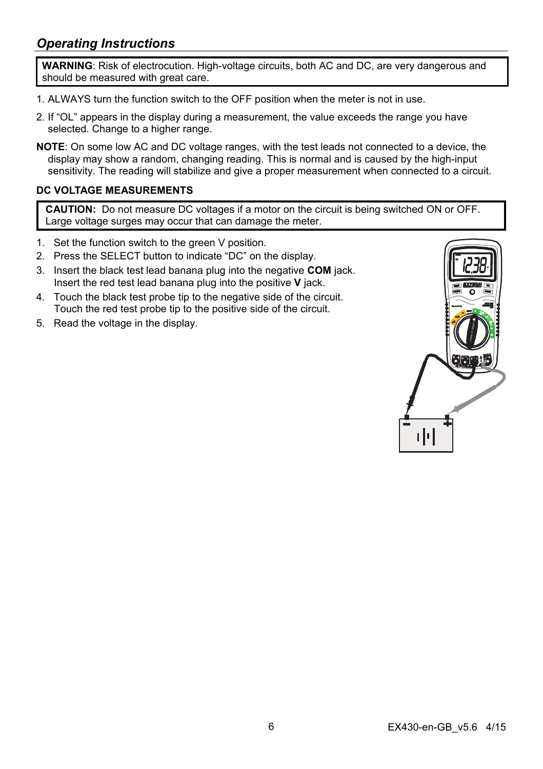# *Operating Instructions*

**WARNING**: Risk of electrocution. High-voltage circuits, both AC and DC, are very dangerous and should be measured with great care.

- 1. ALWAYS turn the function switch to the OFF position when the meter is not in use.
- 2. If "OL" appears in the display during a measurement, the value exceeds the range you have selected. Change to a higher range.
- **NOTE**: On some low AC and DC voltage ranges, with the test leads not connected to a device, the display may show a random, changing reading. This is normal and is caused by the high-input sensitivity. The reading will stabilize and give a proper measurement when connected to a circuit.

#### **DC VOLTAGE MEASUREMENTS**

**CAUTION:** Do not measure DC voltages if a motor on the circuit is being switched ON or OFF. Large voltage surges may occur that can damage the meter.

- 1. Set the function switch to the green V position.
- 2. Press the SELECT button to indicate "DC" on the display.
- 3. Insert the black test lead banana plug into the negative **COM** jack. Insert the red test lead banana plug into the positive **V** jack.
- 4. Touch the black test probe tip to the negative side of the circuit. Touch the red test probe tip to the positive side of the circuit.
- 5. Read the voltage in the display.

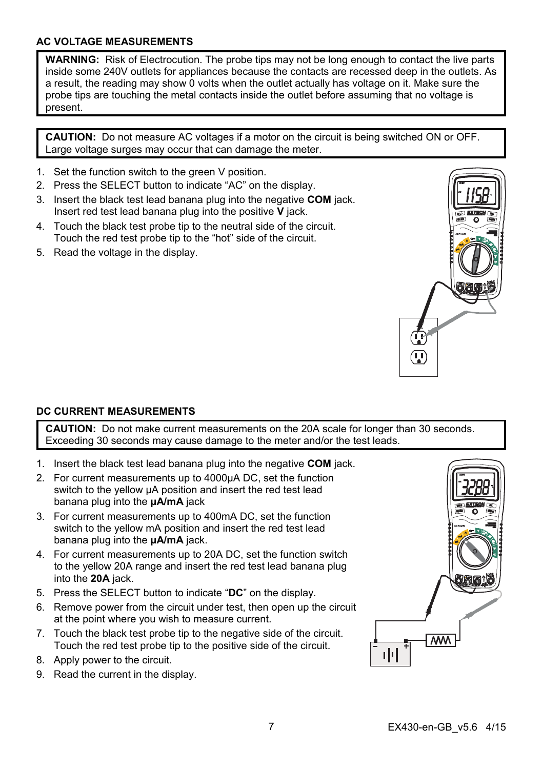## **AC VOLTAGE MEASUREMENTS**

**WARNING:** Risk of Electrocution. The probe tips may not be long enough to contact the live parts inside some 240V outlets for appliances because the contacts are recessed deep in the outlets. As a result, the reading may show 0 volts when the outlet actually has voltage on it. Make sure the probe tips are touching the metal contacts inside the outlet before assuming that no voltage is present.

**CAUTION:** Do not measure AC voltages if a motor on the circuit is being switched ON or OFF. Large voltage surges may occur that can damage the meter.

- 1. Set the function switch to the green V position.
- 2. Press the SELECT button to indicate "AC" on the display.
- 3. Insert the black test lead banana plug into the negative **COM** jack. Insert red test lead banana plug into the positive **V** jack.
- 4. Touch the black test probe tip to the neutral side of the circuit. Touch the red test probe tip to the "hot" side of the circuit.
- 5. Read the voltage in the display.



#### **DC CURRENT MEASUREMENTS**

**CAUTION:** Do not make current measurements on the 20A scale for longer than 30 seconds. Exceeding 30 seconds may cause damage to the meter and/or the test leads.

- 1. Insert the black test lead banana plug into the negative **COM** jack.
- 2. For current measurements up to 4000µA DC, set the function switch to the yellow µA position and insert the red test lead banana plug into the **µA/mA** jack
- 3. For current measurements up to 400mA DC, set the function switch to the yellow mA position and insert the red test lead banana plug into the **µA/mA** jack.
- 4. For current measurements up to 20A DC, set the function switch to the yellow 20A range and insert the red test lead banana plug into the **20A** jack.
- 5. Press the SELECT button to indicate "**DC**" on the display.
- 6. Remove power from the circuit under test, then open up the circuit at the point where you wish to measure current.
- 7. Touch the black test probe tip to the negative side of the circuit. Touch the red test probe tip to the positive side of the circuit.
- 8. Apply power to the circuit.
- 9. Read the current in the display.

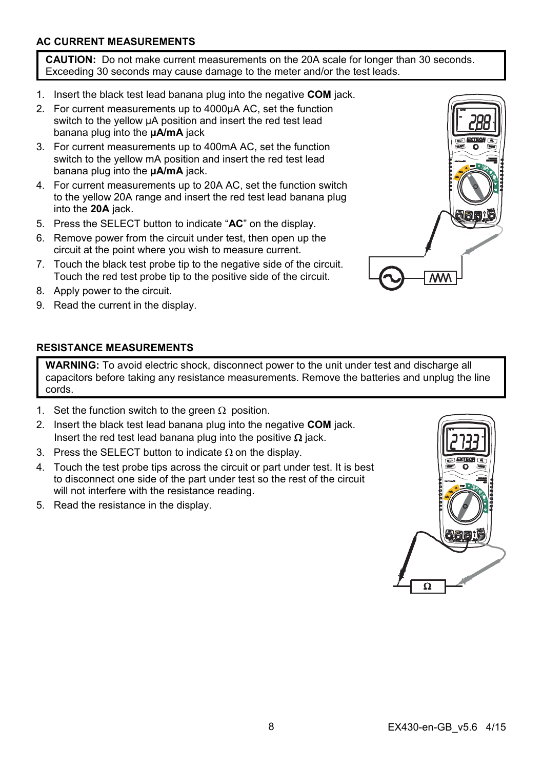# **AC CURRENT MEASUREMENTS**

**CAUTION:** Do not make current measurements on the 20A scale for longer than 30 seconds. Exceeding 30 seconds may cause damage to the meter and/or the test leads.

- 1. Insert the black test lead banana plug into the negative **COM** jack.
- 2. For current measurements up to 4000µA AC, set the function switch to the yellow µA position and insert the red test lead banana plug into the **µA/mA** jack
- 3. For current measurements up to 400mA AC, set the function switch to the yellow mA position and insert the red test lead banana plug into the **µA/mA** jack.
- 4. For current measurements up to 20A AC, set the function switch to the yellow 20A range and insert the red test lead banana plug into the **20A** jack.
- 5. Press the SELECT button to indicate "**AC**" on the display.
- 6. Remove power from the circuit under test, then open up the circuit at the point where you wish to measure current.
- 7. Touch the black test probe tip to the negative side of the circuit. Touch the red test probe tip to the positive side of the circuit.
- 8. Apply power to the circuit.
- 9. Read the current in the display.



#### **RESISTANCE MEASUREMENTS**

**WARNING:** To avoid electric shock, disconnect power to the unit under test and discharge all capacitors before taking any resistance measurements. Remove the batteries and unplug the line cords.

- 1. Set the function switch to the green  $\Omega$  position.
- 2. Insert the black test lead banana plug into the negative **COM** jack. Insert the red test lead banana plug into the positive  $\Omega$  jack.
- 3. Press the SELECT button to indicate  $\Omega$  on the display.
- 4. Touch the test probe tips across the circuit or part under test. It is best to disconnect one side of the part under test so the rest of the circuit will not interfere with the resistance reading.
- 5. Read the resistance in the display.

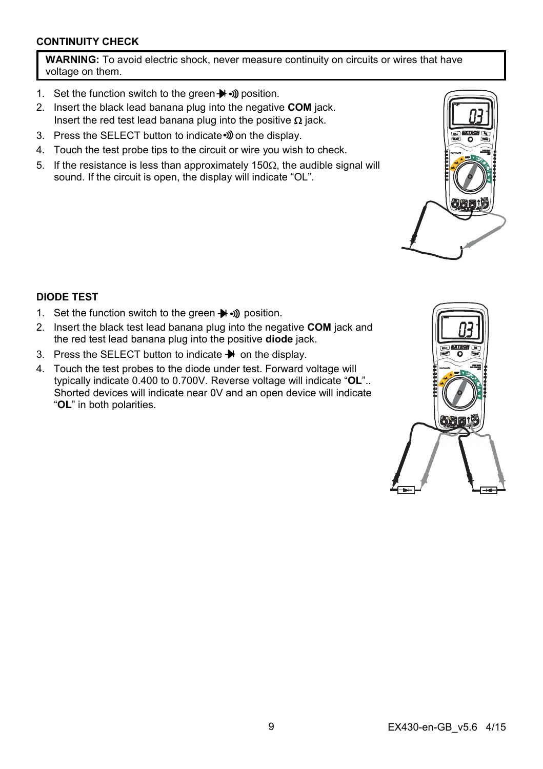## **CONTINUITY CHECK**

**WARNING:** To avoid electric shock, never measure continuity on circuits or wires that have voltage on them.

- 1. Set the function switch to the green  $\blacktriangleright$   $\rightsquigarrow$  position.
- 2. Insert the black lead banana plug into the negative **COM** jack. Insert the red test lead banana plug into the positive  $\Omega$  jack.
- 3. Press the SELECT button to indicate . on the display.
- 4. Touch the test probe tips to the circuit or wire you wish to check.
- 5. If the resistance is less than approximately 150 $\Omega$ , the audible signal will sound. If the circuit is open, the display will indicate "OL".



## **DIODE TEST**

- 1. Set the function switch to the green  $\blacktriangleright$   $\rightsquigarrow$  position.
- 2. Insert the black test lead banana plug into the negative **COM** jack and the red test lead banana plug into the positive **diode** jack.
- 3. Press the SELECT button to indicate  $\blacktriangleright$  on the display.
- 4. Touch the test probes to the diode under test. Forward voltage will typically indicate 0.400 to 0.700V. Reverse voltage will indicate "**OL**".. Shorted devices will indicate near 0V and an open device will indicate "**OL**" in both polarities.

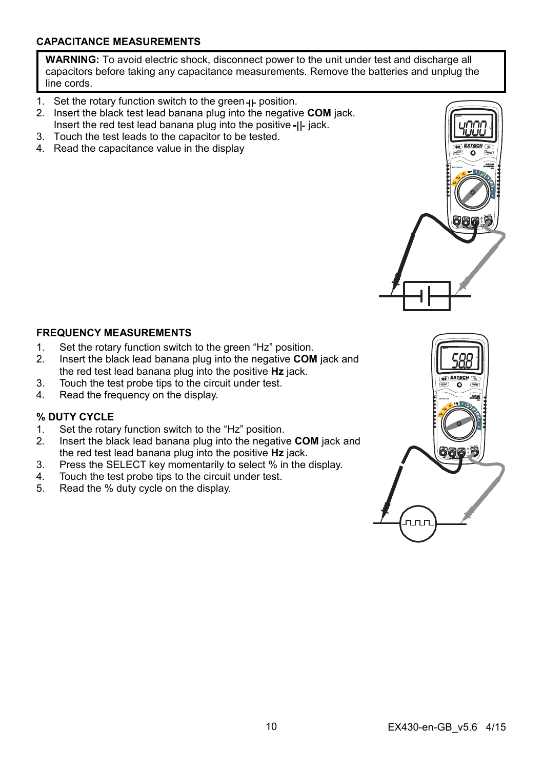## **CAPACITANCE MEASUREMENTS**

**WARNING:** To avoid electric shock, disconnect power to the unit under test and discharge all capacitors before taking any capacitance measurements. Remove the batteries and unplug the line cords.

- 1. Set the rotary function switch to the green  $H$ -position.
- 2. Insert the black test lead banana plug into the negative **COM** jack. Insert the red test lead banana plug into the positive  $-I$ - jack.
- 3. Touch the test leads to the capacitor to be tested.
- 4. Read the capacitance value in the display

#### **FREQUENCY MEASUREMENTS**

- 1. Set the rotary function switch to the green "Hz" position.
- 2. Insert the black lead banana plug into the negative **COM** jack and the red test lead banana plug into the positive **Hz** jack.
- 3. Touch the test probe tips to the circuit under test.
- 4. Read the frequency on the display.

# **% DUTY CYCLE**

- 1. Set the rotary function switch to the "Hz" position.
- 2. Insert the black lead banana plug into the negative **COM** jack and the red test lead banana plug into the positive **Hz** jack.
- 3. Press the SELECT key momentarily to select % in the display.
- 4. Touch the test probe tips to the circuit under test.
- 5. Read the % duty cycle on the display.

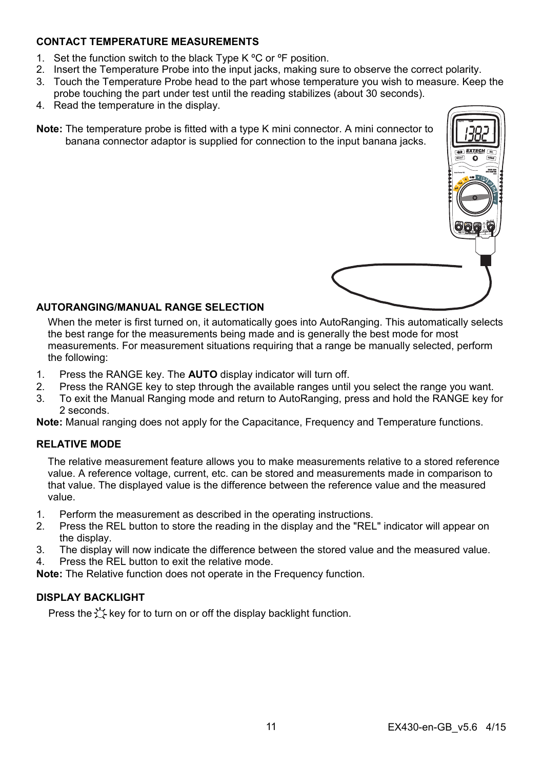### **CONTACT TEMPERATURE MEASUREMENTS**

- 1. Set the function switch to the black Type K °C or °F position.
- 2. Insert the Temperature Probe into the input jacks, making sure to observe the correct polarity.
- 3. Touch the Temperature Probe head to the part whose temperature you wish to measure. Keep the probe touching the part under test until the reading stabilizes (about 30 seconds).
- 4. Read the temperature in the display.
- **Note:** The temperature probe is fitted with a type K mini connector. A mini connector to banana connector adaptor is supplied for connection to the input banana jacks.



#### **AUTORANGING/MANUAL RANGE SELECTION**

When the meter is first turned on, it automatically goes into AutoRanging. This automatically selects the best range for the measurements being made and is generally the best mode for most measurements. For measurement situations requiring that a range be manually selected, perform the following:

- 1. Press the RANGE key. The **AUTO** display indicator will turn off.
- 2. Press the RANGE key to step through the available ranges until you select the range you want.
- 3. To exit the Manual Ranging mode and return to AutoRanging, press and hold the RANGE key for 2 seconds.

**Note:** Manual ranging does not apply for the Capacitance, Frequency and Temperature functions.

#### **RELATIVE MODE**

The relative measurement feature allows you to make measurements relative to a stored reference value. A reference voltage, current, etc. can be stored and measurements made in comparison to that value. The displayed value is the difference between the reference value and the measured value.

- 1. Perform the measurement as described in the operating instructions.
- 2. Press the REL button to store the reading in the display and the "REL" indicator will appear on the display.
- 3. The display will now indicate the difference between the stored value and the measured value.
- 4. Press the REL button to exit the relative mode.

**Note:** The Relative function does not operate in the Frequency function.

#### **DISPLAY BACKLIGHT**

Press the  $\forall$  key for to turn on or off the display backlight function.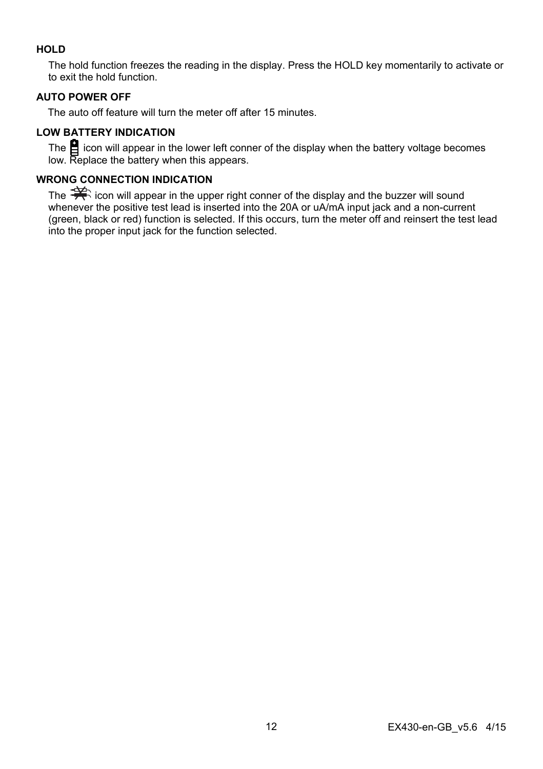# **HOLD**

The hold function freezes the reading in the display. Press the HOLD key momentarily to activate or to exit the hold function.

## **AUTO POWER OFF**

The auto off feature will turn the meter off after 15 minutes.

# **LOW BATTERY INDICATION**

The  $\Xi$  icon will appear in the lower left conner of the display when the battery voltage becomes low. Replace the battery when this appears.

# **WRONG CONNECTION INDICATION**

The  $\Rightarrow$  icon will appear in the upper right conner of the display and the buzzer will sound whenever the positive test lead is inserted into the 20A or uA/mA input jack and a non-current (green, black or red) function is selected. If this occurs, turn the meter off and reinsert the test lead into the proper input jack for the function selected.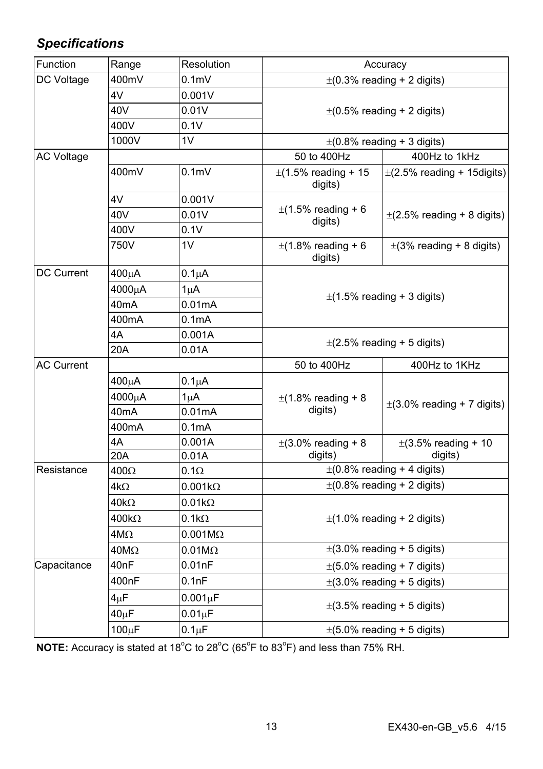# *Specifications*

| Function          | Range             | Resolution         | Accuracy                            |                                     |  |
|-------------------|-------------------|--------------------|-------------------------------------|-------------------------------------|--|
| DC Voltage        | 400mV             | 0.1 <sub>m</sub>   | $\pm$ (0.3% reading + 2 digits)     |                                     |  |
|                   | 4V                | 0.001V             |                                     |                                     |  |
|                   | 40V               | 0.01V              |                                     | $\pm$ (0.5% reading + 2 digits)     |  |
|                   | 400V              | 0.1V               |                                     |                                     |  |
|                   | 1000V             | 1V                 | $\pm$ (0.8% reading + 3 digits)     |                                     |  |
| <b>AC Voltage</b> |                   |                    | 50 to 400Hz                         | 400Hz to 1kHz                       |  |
|                   | 400mV             | 0.1 <sub>m</sub>   | $\pm$ (1.5% reading + 15<br>digits) | $\pm$ (2.5% reading + 15 digits)    |  |
|                   | 4V                | 0.001V             |                                     | $\pm$ (2.5% reading + 8 digits)     |  |
|                   | 40V               | 0.01V              | $\pm$ (1.5% reading + 6<br>digits)  |                                     |  |
|                   | 400V              | 0.1V               |                                     |                                     |  |
|                   | 750V              | 1V                 | $\pm$ (1.8% reading + 6<br>digits)  | $\pm$ (3% reading + 8 digits)       |  |
| DC Current        | 400µA             | $0.1\mu A$         |                                     |                                     |  |
|                   | 4000μA            | $1\mu$ A           |                                     |                                     |  |
|                   | 40 <sub>m</sub> A | 0.01mA             |                                     | $\pm$ (1.5% reading + 3 digits)     |  |
|                   | 400mA             | 0.1 <sub>m</sub> A |                                     |                                     |  |
|                   | 4A                | 0.001A             |                                     |                                     |  |
|                   | 20A               | 0.01A              |                                     | $\pm$ (2.5% reading + 5 digits)     |  |
| <b>AC Current</b> |                   |                    | 50 to 400Hz                         | 400Hz to 1KHz                       |  |
|                   | $400\mu A$        | $0.1\mu A$         |                                     | $\pm$ (3.0% reading + 7 digits)     |  |
|                   | 4000μA            | $1\mu$ A           | $\pm$ (1.8% reading + 8             |                                     |  |
|                   | 40 <sub>m</sub> A | 0.01mA             | digits)                             |                                     |  |
|                   | 400mA             | 0.1mA              |                                     |                                     |  |
|                   | 4A                | 0.001A             | $\pm$ (3.0% reading + 8             | $\pm$ (3.5% reading + 10<br>digits) |  |
|                   | 20A               | 0.01A              | digits)                             |                                     |  |
| Resistance        | $400\Omega$       | $0.1\Omega$        | $\pm$ (0.8% reading + 4 digits)     |                                     |  |
|                   | 4kΩ               | $0.001k\Omega$     |                                     | $\pm$ (0.8% reading + 2 digits)     |  |
|                   | $40k\Omega$       | $0.01k\Omega$      |                                     |                                     |  |
|                   | $400k\Omega$      | $0.1k\Omega$       |                                     | $\pm$ (1.0% reading + 2 digits)     |  |
|                   | $4M\Omega$        | $0.001M\Omega$     |                                     |                                     |  |
|                   | $40M\Omega$       | $0.01M\Omega$      | $\pm$ (3.0% reading + 5 digits)     |                                     |  |
| Capacitance       | 40 <sub>nF</sub>  | 0.01nF             | $\pm$ (5.0% reading + 7 digits)     |                                     |  |
|                   | 400nF             | 0.1nF              | $\pm$ (3.0% reading + 5 digits)     |                                     |  |
|                   | $4\mu$ F          | $0.001\mu F$       |                                     |                                     |  |
|                   | $40\mu F$         | $0.01 \mu F$       |                                     | $\pm$ (3.5% reading + 5 digits)     |  |
|                   | 100µF             | $0.1 \mu F$        | $\pm$ (5.0% reading + 5 digits)     |                                     |  |

NOTE: Accuracy is stated at 18<sup>°</sup>C to 28<sup>°</sup>C (65<sup>°</sup>F to 83<sup>°</sup>F) and less than 75% RH.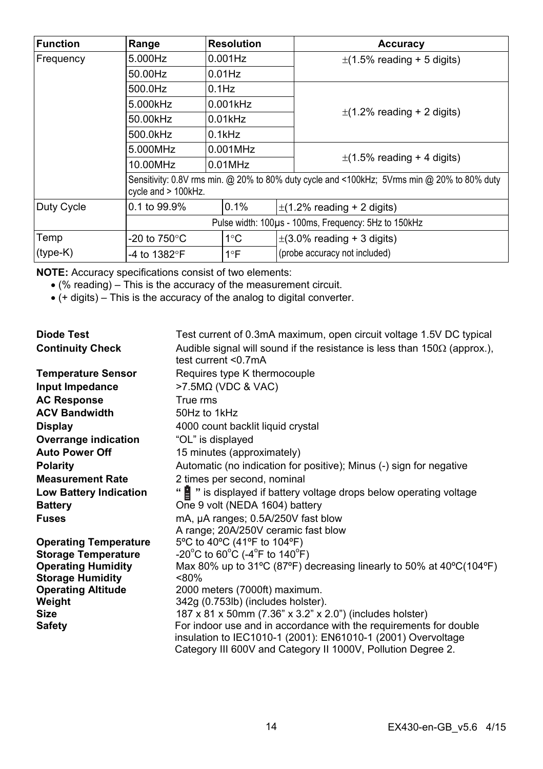| <b>Function</b> | Range                  | <b>Resolution</b>                                                                                                  |  | Accuracy                        |  |
|-----------------|------------------------|--------------------------------------------------------------------------------------------------------------------|--|---------------------------------|--|
| Frequency       | 5.000Hz                | $0.001$ Hz                                                                                                         |  | $\pm$ (1.5% reading + 5 digits) |  |
|                 | 50.00Hz                | $0.01$ Hz                                                                                                          |  |                                 |  |
|                 | 500.0Hz                | $0.1$ Hz                                                                                                           |  |                                 |  |
|                 | 5.000kHz               | $0.001$ kHz                                                                                                        |  |                                 |  |
|                 | 50.00kHz               | $0.01$ kHz                                                                                                         |  | $\pm$ (1.2% reading + 2 digits) |  |
|                 | 500.0kHz               | $0.1$ k $Hz$                                                                                                       |  |                                 |  |
|                 | 5.000MHz               | $0.001$ MHz                                                                                                        |  |                                 |  |
|                 | 10.00MHz               | $0.01$ MHz                                                                                                         |  | $\pm$ (1.5% reading + 4 digits) |  |
|                 |                        | Sensitivity: 0.8V rms min. @ 20% to 80% duty cycle and <100kHz; 5Vrms min @ 20% to 80% duty<br>cycle and > 100kHz. |  |                                 |  |
| Duty Cycle      | 0.1 to 99.9%           | 0.1%                                                                                                               |  | $\pm$ (1.2% reading + 2 digits) |  |
|                 |                        | Pulse width: 100µs - 100ms, Frequency: 5Hz to 150kHz                                                               |  |                                 |  |
| Temp            | -20 to $750^{\circ}$ C | $1^{\circ}$ C                                                                                                      |  | $\pm$ (3.0% reading + 3 digits) |  |
| $(type-K)$      | -4 to 1382°F           | $1^{\circ}F$                                                                                                       |  | (probe accuracy not included)   |  |

**NOTE:** Accuracy specifications consist of two elements:

- (% reading) This is the accuracy of the measurement circuit.
- (+ digits) This is the accuracy of the analog to digital converter.

| Diode Test                    | Test current of 0.3mA maximum, open circuit voltage 1.5V DC typical                                                               |
|-------------------------------|-----------------------------------------------------------------------------------------------------------------------------------|
| <b>Continuity Check</b>       | Audible signal will sound if the resistance is less than $150\Omega$ (approx.),<br>test current $<$ 07mA                          |
| <b>Temperature Sensor</b>     | Requires type K thermocouple                                                                                                      |
| Input Impedance               | $>7.5M\Omega$ (VDC & VAC)                                                                                                         |
| <b>AC Response</b>            | True rms                                                                                                                          |
| <b>ACV Bandwidth</b>          | 50Hz to 1kHz                                                                                                                      |
| Display                       | 4000 count backlit liquid crystal                                                                                                 |
| Overrange indication          | "OL" is displayed                                                                                                                 |
| <b>Auto Power Off</b>         | 15 minutes (approximately)                                                                                                        |
| <b>Polarity</b>               | Automatic (no indication for positive); Minus (-) sign for negative                                                               |
| <b>Measurement Rate</b>       | 2 times per second, nominal                                                                                                       |
| <b>Low Battery Indication</b> | " is displayed if battery voltage drops below operating voltage                                                                   |
| <b>Battery</b>                | One 9 volt (NEDA 1604) battery                                                                                                    |
| <b>Fuses</b>                  | mA, µA ranges; 0.5A/250V fast blow                                                                                                |
|                               | A range; 20A/250V ceramic fast blow                                                                                               |
| <b>Operating Temperature</b>  | 5°C to 40°C (41°F to 104°F)                                                                                                       |
| <b>Storage Temperature</b>    | $-20^{\circ}$ C to 60 $^{\circ}$ C (-4 $^{\circ}$ F to 140 $^{\circ}$ F)                                                          |
| <b>Operating Humidity</b>     | Max 80% up to 31°C (87°F) decreasing linearly to 50% at 40°C(104°F)                                                               |
| <b>Storage Humidity</b>       | < 80%                                                                                                                             |
| <b>Operating Altitude</b>     | 2000 meters (7000ft) maximum.                                                                                                     |
| Weight                        | 342g (0.753lb) (includes holster).                                                                                                |
| <b>Size</b>                   | 187 x 81 x 50mm (7.36" x 3.2" x 2.0") (includes holster)                                                                          |
| <b>Safety</b>                 | For indoor use and in accordance with the requirements for double<br>insulation to IEC1010-1 (2001): EN61010-1 (2001) Overvoltage |
|                               | Category III 600V and Category II 1000V, Pollution Degree 2.                                                                      |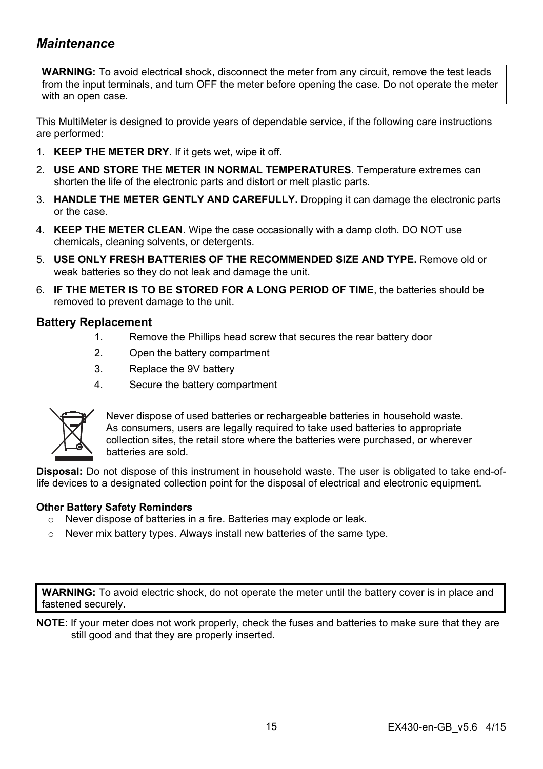# *Maintenance*

**WARNING:** To avoid electrical shock, disconnect the meter from any circuit, remove the test leads from the input terminals, and turn OFF the meter before opening the case. Do not operate the meter with an open case.

This MultiMeter is designed to provide years of dependable service, if the following care instructions are performed:

- 1. **KEEP THE METER DRY**. If it gets wet, wipe it off.
- 2. **USE AND STORE THE METER IN NORMAL TEMPERATURES.** Temperature extremes can shorten the life of the electronic parts and distort or melt plastic parts.
- 3. **HANDLE THE METER GENTLY AND CAREFULLY.** Dropping it can damage the electronic parts or the case.
- 4. **KEEP THE METER CLEAN.** Wipe the case occasionally with a damp cloth. DO NOT use chemicals, cleaning solvents, or detergents.
- 5. **USE ONLY FRESH BATTERIES OF THE RECOMMENDED SIZE AND TYPE.** Remove old or weak batteries so they do not leak and damage the unit.
- 6. **IF THE METER IS TO BE STORED FOR A LONG PERIOD OF TIME**, the batteries should be removed to prevent damage to the unit.

#### **Battery Replacement**

- 1. Remove the Phillips head screw that secures the rear battery door
- 2. Open the battery compartment
- 3. Replace the 9V battery
- 4. Secure the battery compartment



Never dispose of used batteries or rechargeable batteries in household waste. As consumers, users are legally required to take used batteries to appropriate collection sites, the retail store where the batteries were purchased, or wherever batteries are sold.

**Disposal:** Do not dispose of this instrument in household waste. The user is obligated to take end-oflife devices to a designated collection point for the disposal of electrical and electronic equipment.

#### **Other Battery Safety Reminders**

- o Never dispose of batteries in a fire. Batteries may explode or leak.
- $\circ$  Never mix battery types. Always install new batteries of the same type.

**WARNING:** To avoid electric shock, do not operate the meter until the battery cover is in place and fastened securely.

**NOTE**: If your meter does not work properly, check the fuses and batteries to make sure that they are still good and that they are properly inserted.